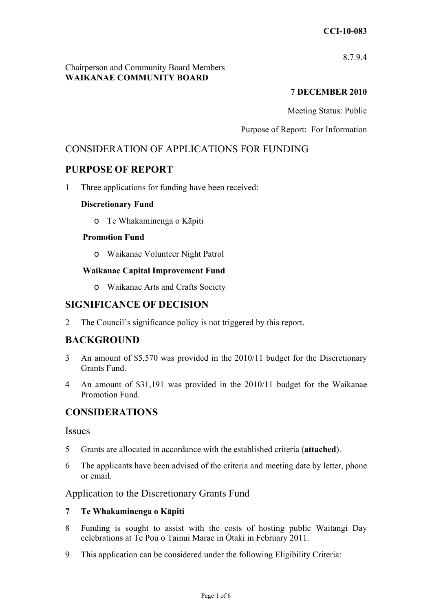8.7.9.4

#### Chairperson and Community Board Members **WAIKANAE COMMUNITY BOARD**

# **7 DECEMBER 2010**

Meeting Status: Public

Purpose of Report: For Information

# CONSIDERATION OF APPLICATIONS FOR FUNDING

# **PURPOSE OF REPORT**

1 Three applications for funding have been received:

#### **Discretionary Fund**

o Te Whakaminenga o Kāpiti

#### **Promotion Fund**

o Waikanae Volunteer Night Patrol

#### **Waikanae Capital Improvement Fund**

o Waikanae Arts and Crafts Society

# **SIGNIFICANCE OF DECISION**

2 The Council's significance policy is not triggered by this report.

# **BACKGROUND**

- 3 An amount of \$5,570 was provided in the 2010/11 budget for the Discretionary Grants Fund.
- 4 An amount of \$31,191 was provided in the 2010/11 budget for the Waikanae Promotion Fund.

# **CONSIDERATIONS**

#### **Issues**

- 5 Grants are allocated in accordance with the established criteria (**attached**).
- 6 The applicants have been advised of the criteria and meeting date by letter, phone or email.

# Application to the Discretionary Grants Fund

#### **7 Te Whakaminenga o Kāpiti**

- 8 Funding is sought to assist with the costs of hosting public Waitangi Day celebrations at Te Pou o Tainui Marae in Ōtaki in February 2011.
- 9 This application can be considered under the following Eligibility Criteria: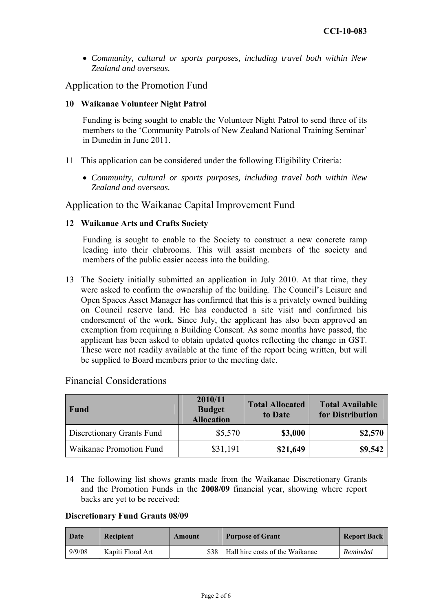• *Community, cultural or sports purposes, including travel both within New Zealand and overseas.* 

Application to the Promotion Fund

#### **10 Waikanae Volunteer Night Patrol**

Funding is being sought to enable the Volunteer Night Patrol to send three of its members to the 'Community Patrols of New Zealand National Training Seminar' in Dunedin in June 2011.

- 11 This application can be considered under the following Eligibility Criteria:
	- *Community, cultural or sports purposes, including travel both within New Zealand and overseas.*

Application to the Waikanae Capital Improvement Fund

#### **12 Waikanae Arts and Crafts Society**

Funding is sought to enable to the Society to construct a new concrete ramp leading into their clubrooms. This will assist members of the society and members of the public easier access into the building.

13 The Society initially submitted an application in July 2010. At that time, they were asked to confirm the ownership of the building. The Council's Leisure and Open Spaces Asset Manager has confirmed that this is a privately owned building on Council reserve land. He has conducted a site visit and confirmed his endorsement of the work. Since July, the applicant has also been approved an exemption from requiring a Building Consent. As some months have passed, the applicant has been asked to obtain updated quotes reflecting the change in GST. These were not readily available at the time of the report being written, but will be supplied to Board members prior to the meeting date.

| Fund                      | 2010/11<br><b>Budget</b><br><b>Allocation</b> | <b>Total Allocated</b><br>to Date | <b>Total Available</b><br>for Distribution |
|---------------------------|-----------------------------------------------|-----------------------------------|--------------------------------------------|
| Discretionary Grants Fund | \$5,570                                       | \$3,000                           | \$2,570                                    |
| Waikanae Promotion Fund   | \$31,191                                      | \$21,649                          | \$9,542                                    |

Financial Considerations

14 The following list shows grants made from the Waikanae Discretionary Grants and the Promotion Funds in the **2008/09** financial year, showing where report backs are yet to be received:

#### **Discretionary Fund Grants 08/09**

| Date   | <b>Recipient</b>  | Amount | <b>Purpose of Grant</b>                | <b>Report Back</b> |
|--------|-------------------|--------|----------------------------------------|--------------------|
| 9/9/08 | Kapiti Floral Art |        | \$38   Hall hire costs of the Waikanae | Reminded           |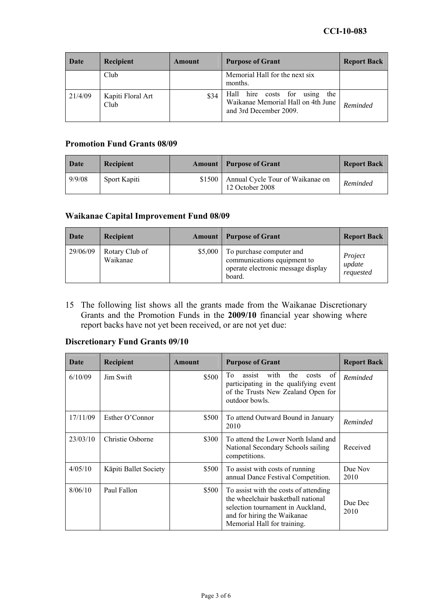| Date    | Recipient                 | Amount | <b>Purpose of Grant</b>                                                                                | <b>Report Back</b> |
|---------|---------------------------|--------|--------------------------------------------------------------------------------------------------------|--------------------|
|         | Club                      |        | Memorial Hall for the next six<br>months.                                                              |                    |
| 21/4/09 | Kapiti Floral Art<br>Club | \$34   | Hall<br>hire costs for<br>the<br>using<br>Waikanae Memorial Hall on 4th June<br>and 3rd December 2009. | Reminded           |

# **Promotion Fund Grants 08/09**

| Date   | Recipient    |        | <b>Amount</b>   Purpose of Grant                    | <b>Report Back</b> |
|--------|--------------|--------|-----------------------------------------------------|--------------------|
| 9/9/08 | Sport Kapiti | \$1500 | Annual Cycle Tour of Waikanae on<br>12 October 2008 | Reminded           |

#### **Waikanae Capital Improvement Fund 08/09**

| Date     | <b>Recipient</b>           |         | <b>Amount</b>   Purpose of Grant                                                                        | <b>Report Back</b>             |
|----------|----------------------------|---------|---------------------------------------------------------------------------------------------------------|--------------------------------|
| 29/06/09 | Rotary Club of<br>Waikanae | \$5,000 | To purchase computer and<br>communications equipment to<br>operate electronic message display<br>board. | Project<br>update<br>requested |

15 The following list shows all the grants made from the Waikanae Discretionary Grants and the Promotion Funds in the **2009/10** financial year showing where report backs have not yet been received, or are not yet due:

# **Discretionary Fund Grants 09/10**

| Date     | <b>Recipient</b>      | Amount | <b>Purpose of Grant</b>                                                                                                                                                        | <b>Report Back</b> |
|----------|-----------------------|--------|--------------------------------------------------------------------------------------------------------------------------------------------------------------------------------|--------------------|
| 6/10/09  | Jim Swift             | \$500  | of<br>To<br>with<br>the<br>assist<br>costs<br>participating in the qualifying event<br>of the Trusts New Zealand Open for<br>outdoor bowls.                                    | Reminded           |
| 17/11/09 | Esther O'Connor       | \$500  | To attend Outward Bound in January<br>2010                                                                                                                                     | Reminded           |
| 23/03/10 | Christie Osborne      | \$300  | To attend the Lower North Island and<br>National Secondary Schools sailing<br>competitions.                                                                                    | Received           |
| 4/05/10  | Kāpiti Ballet Society | \$500  | To assist with costs of running<br>annual Dance Festival Competition.                                                                                                          | Due Nov<br>2010    |
| 8/06/10  | Paul Fallon           | \$500  | To assist with the costs of attending<br>the wheelchair basketball national<br>selection tournament in Auckland.<br>and for hiring the Waikanae<br>Memorial Hall for training. | Due Dec<br>2010    |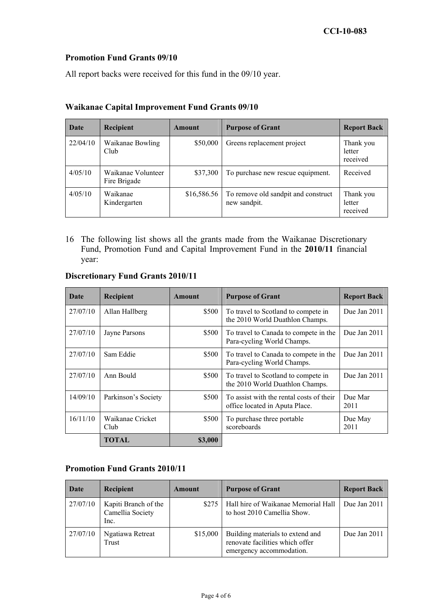#### **Promotion Fund Grants 09/10**

All report backs were received for this fund in the 09/10 year.

| Date     | Recipient                          | Amount      | <b>Purpose of Grant</b>                             | <b>Report Back</b>              |
|----------|------------------------------------|-------------|-----------------------------------------------------|---------------------------------|
| 22/04/10 | Waikanae Bowling<br>Club           | \$50,000    | Greens replacement project                          | Thank you<br>letter<br>received |
| 4/05/10  | Waikanae Volunteer<br>Fire Brigade | \$37,300    | To purchase new rescue equipment.                   | Received                        |
| 4/05/10  | Waikanae<br>Kindergarten           | \$16,586.56 | To remove old sandpit and construct<br>new sandpit. | Thank you<br>letter<br>received |

### **Waikanae Capital Improvement Fund Grants 09/10**

16 The following list shows all the grants made from the Waikanae Discretionary Fund, Promotion Fund and Capital Improvement Fund in the **2010/11** financial year:

| Date     | Recipient                | Amount  | <b>Purpose of Grant</b>                                                    | <b>Report Back</b> |
|----------|--------------------------|---------|----------------------------------------------------------------------------|--------------------|
| 27/07/10 | Allan Hallberg           | \$500   | To travel to Scotland to compete in<br>the 2010 World Duathlon Champs.     | Due Jan $2011$     |
| 27/07/10 | Jayne Parsons            | \$500   | To travel to Canada to compete in the<br>Para-cycling World Champs.        | Due Jan $2011$     |
| 27/07/10 | Sam Eddie                | \$500   | To travel to Canada to compete in the<br>Para-cycling World Champs.        | Due Jan $2011$     |
| 27/07/10 | Ann Bould                | \$500   | To travel to Scotland to compete in<br>the 2010 World Duathlon Champs.     | Due Jan $2011$     |
| 14/09/10 | Parkinson's Society      | \$500   | To assist with the rental costs of their<br>office located in Aputa Place. | Due Mar<br>2011    |
| 16/11/10 | Waikanae Cricket<br>Club | \$500   | To purchase three portable<br>scoreboards                                  | Due May<br>2011    |
|          | TOTAL                    | \$3,000 |                                                                            |                    |

# **Discretionary Fund Grants 2010/11**

# **Promotion Fund Grants 2010/11**

| Date     | Recipient                                        | Amount   | <b>Purpose of Grant</b>                                                                         | <b>Report Back</b> |
|----------|--------------------------------------------------|----------|-------------------------------------------------------------------------------------------------|--------------------|
| 27/07/10 | Kapiti Branch of the<br>Camellia Society<br>Inc. | \$275    | Hall hire of Waikanae Memorial Hall<br>to host 2010 Camellia Show.                              | Due Jan 2011       |
| 27/07/10 | Ngatiawa Retreat<br>Trust                        | \$15,000 | Building materials to extend and<br>renovate facilities which offer<br>emergency accommodation. | Due Jan $2011$     |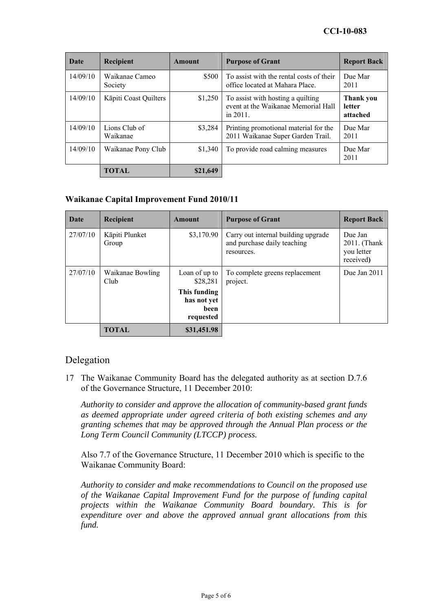| Date     | Recipient                 | Amount   | <b>Purpose of Grant</b>                                                                 | <b>Report Back</b>              |
|----------|---------------------------|----------|-----------------------------------------------------------------------------------------|---------------------------------|
| 14/09/10 | Waikanae Cameo<br>Society | \$500    | To assist with the rental costs of their<br>office located at Mahara Place.             | Due Mar<br>2011                 |
| 14/09/10 | Kāpiti Coast Quilters     | \$1,250  | To assist with hosting a quilting<br>event at the Waikanae Memorial Hall<br>in $2011$ . | Thank you<br>letter<br>attached |
| 14/09/10 | Lions Club of<br>Waikanae | \$3,284  | Printing promotional material for the<br>2011 Waikanae Super Garden Trail.              | Due Mar<br>2011                 |
| 14/09/10 | Waikanae Pony Club        | \$1,340  | To provide road calming measures                                                        | Due Mar<br>2011                 |
|          | TOTAL                     | \$21,649 |                                                                                         |                                 |

#### **Waikanae Capital Improvement Fund 2010/11**

| Date     | Recipient                | Amount                                           | <b>Purpose of Grant</b>                                                          | <b>Report Back</b>                                 |
|----------|--------------------------|--------------------------------------------------|----------------------------------------------------------------------------------|----------------------------------------------------|
| 27/07/10 | Kāpiti Plunket<br>Group  | \$3,170.90                                       | Carry out internal building upgrade<br>and purchase daily teaching<br>resources. | Due Jan<br>2011. (Thank<br>you letter<br>received) |
| 27/07/10 | Waikanae Bowling<br>Club | Loan of up to<br>\$28.281                        | To complete greens replacement<br>project.                                       | Due Jan 2011                                       |
|          |                          | This funding<br>has not yet<br>been<br>requested |                                                                                  |                                                    |
|          | TOTAL                    | \$31,451.98                                      |                                                                                  |                                                    |

# Delegation

17 The Waikanae Community Board has the delegated authority as at section D.7.6 of the Governance Structure, 11 December 2010:

*Authority to consider and approve the allocation of community-based grant funds as deemed appropriate under agreed criteria of both existing schemes and any granting schemes that may be approved through the Annual Plan process or the Long Term Council Community (LTCCP) process.* 

Also 7.7 of the Governance Structure, 11 December 2010 which is specific to the Waikanae Community Board:

*Authority to consider and make recommendations to Council on the proposed use of the Waikanae Capital Improvement Fund for the purpose of funding capital projects within the Waikanae Community Board boundary. This is for expenditure over and above the approved annual grant allocations from this fund.*